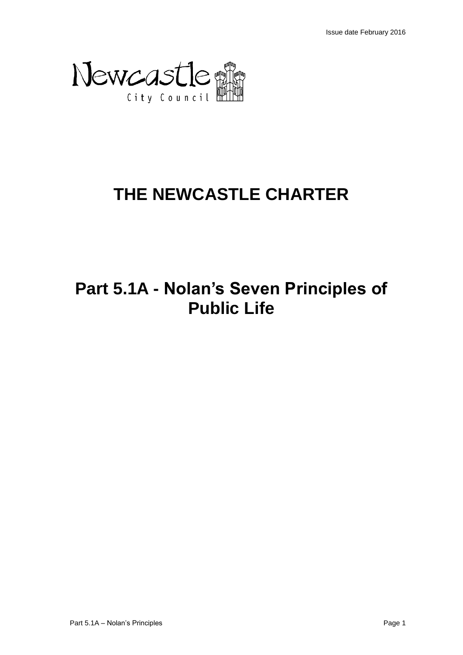

# **THE NEWCASTLE CHARTER**

## **Part 5.1A - Nolan's Seven Principles of Public Life**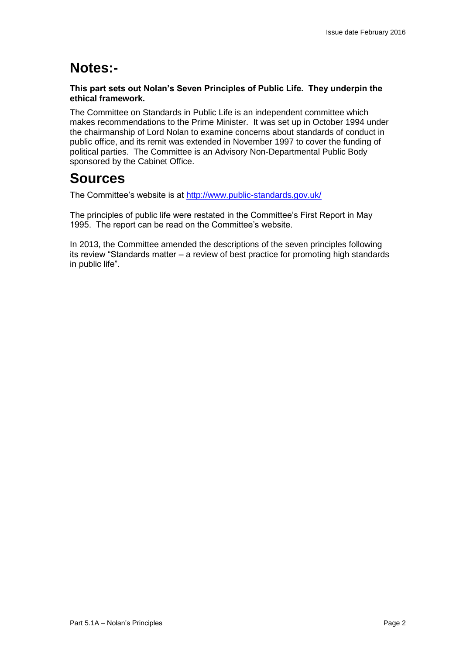## **Notes:-**

#### **This part sets out Nolan's Seven Principles of Public Life. They underpin the ethical framework.**

The Committee on Standards in Public Life is an independent committee which makes recommendations to the Prime Minister. It was set up in October 1994 under the chairmanship of Lord Nolan to examine concerns about standards of conduct in public office, and its remit was extended in November 1997 to cover the funding of political parties. The Committee is an Advisory Non-Departmental Public Body sponsored by the Cabinet Office.

## **Sources**

The Committee's website is at<http://www.public-standards.gov.uk/>

The principles of public life were restated in the Committee's First Report in May 1995. The report can be read on the Committee's website.

In 2013, the Committee amended the descriptions of the seven principles following its review "Standards matter – a review of best practice for promoting high standards in public life".